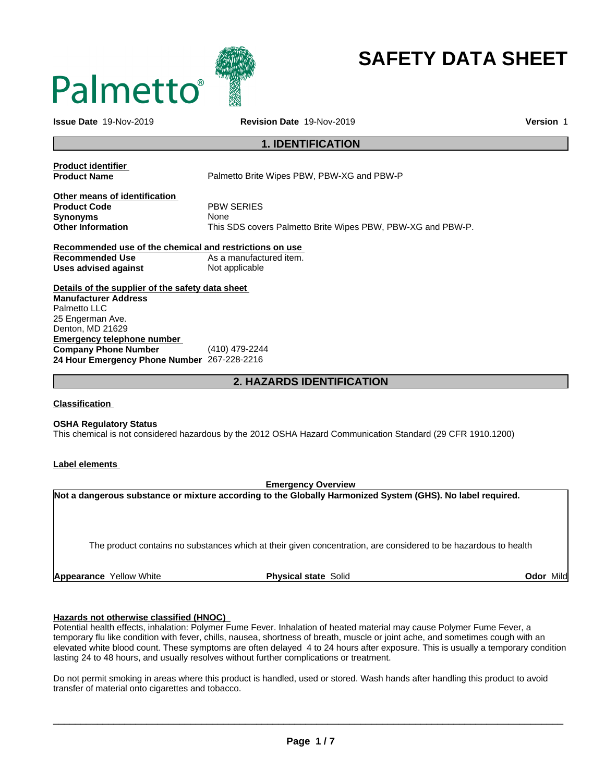

# **SAFETY DATA SHEET**

**Issue Date** 19-Nov-2019 **Revision Date** 19-Nov-2019 **Version** 1

### **1. IDENTIFICATION**

| <b>Product identifier</b>                               |                                                             |
|---------------------------------------------------------|-------------------------------------------------------------|
| <b>Product Name</b>                                     | Palmetto Brite Wipes PBW, PBW-XG and PBW-P                  |
| Other means of identification                           |                                                             |
| <b>Product Code</b>                                     | <b>PBW SERIES</b>                                           |
| <b>Synonyms</b>                                         | <b>None</b>                                                 |
| <b>Other Information</b>                                | This SDS covers Palmetto Brite Wipes PBW, PBW-XG and PBW-P. |
| Recommended use of the chemical and restrictions on use |                                                             |
| <b>Recommended Use</b>                                  | As a manufactured item.                                     |
| Uses advised against                                    | Not applicable                                              |
| Details of the supplier of the safety data sheet        |                                                             |
| <b>Manufacturer Address</b>                             |                                                             |
| Palmetto LLC                                            |                                                             |
| 25 Engerman Ave.                                        |                                                             |
| Denton, MD 21629                                        |                                                             |
| Emergency telephone number                              |                                                             |
| <b>Company Phone Number</b>                             | (410) 479-2244                                              |

### **2. HAZARDS IDENTIFICATION**

### **Classification**

### **OSHA Regulatory Status**

**24 Hour Emergency Phone Number** 267-228-2216

This chemical is not considered hazardous by the 2012 OSHA Hazard Communication Standard (29 CFR 1910.1200)

### **Label elements**

### **Emergency Overview**

**Not a dangerous substance or mixture according to the Globally Harmonized System (GHS). No label required.**

The product contains no substances which at their given concentration, are considered to be hazardous to health

**Appearance** Yellow White **Physical state** Solid **Odor** Mild

### **Hazards not otherwise classified (HNOC)**

Potential health effects, inhalation: Polymer Fume Fever. Inhalation of heated material may cause Polymer Fume Fever, a temporary flu like condition with fever, chills, nausea, shortness of breath, muscle or joint ache, and sometimes cough with an elevated white blood count. These symptoms are often delayed 4 to 24 hours after exposure. This is usually a temporary condition lasting 24 to 48 hours, and usually resolves without further complications or treatment.

Do not permit smoking in areas where this product is handled, used or stored. Wash hands after handling this product to avoid transfer of material onto cigarettes and tobacco.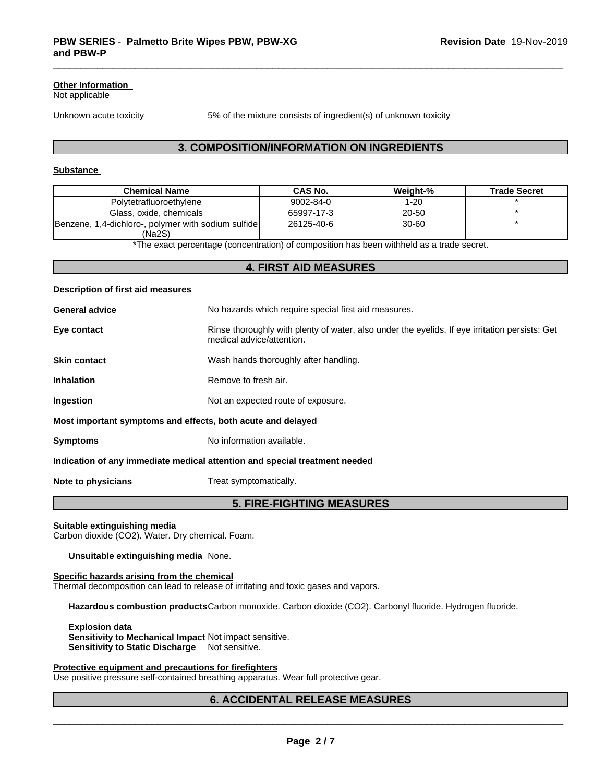### **Other Information**

Not applicable

Unknown acute toxicity 5% of the mixture consists of ingredient(s) of unknown toxicity

### **3. COMPOSITION/INFORMATION ON INGREDIENTS**

### **Substance**

| <b>Chemical Name</b>                                | CAS No.         | Weiaht-%  | <b>Trade Secret</b> |
|-----------------------------------------------------|-----------------|-----------|---------------------|
| Polytetrafluoroethylene                             | $9002 - 84 - 0$ | 1-20      |                     |
| Glass, oxide, chemicals                             | 65997-17-3      | 20-50     |                     |
| Benzene, 1,4-dichloro-, polymer with sodium sulfide | 26125-40-6      | $30 - 60$ |                     |
| 'Na2S)                                              |                 |           |                     |

\*The exact percentage (concentration) of composition has been withheld as a trade secret.

### **4. FIRST AID MEASURES**

# **Description of first aid measures General advice** No hazards which require special first aid measures. **Eye contact Rinse thoroughly with plenty of water, also under the eyelids. If eye irritation persists: Get** medical advice/attention. **Skin contact** Wash hands thoroughly after handling. **Inhalation** Remove to fresh air. **Ingestion** Not an expected route of exposure. **Most important symptoms and effects, both acute and delayed Symptoms** No information available. **Indication of any immediate medical attention and special treatment needed Note to physicians** Treat symptomatically.

### **5. FIRE-FIGHTING MEASURES**

### **Suitable extinguishing media**

Carbon dioxide (CO2). Water. Dry chemical. Foam.

### **Unsuitable extinguishing media** None.

### **Specific hazards arising from the chemical**

Thermal decomposition can lead to release of irritating and toxic gases and vapors.

**Hazardous combustion products**Carbon monoxide. Carbon dioxide (CO2). Carbonyl fluoride. Hydrogen fluoride.

**Explosion data Sensitivity to Mechanical Impact** Not impact sensitive. **Sensitivity to Static Discharge** Not sensitive.

### **Protective equipment and precautions for firefighters**

Use positive pressure self-contained breathing apparatus. Wear full protective gear.

### **6. ACCIDENTAL RELEASE MEASURES**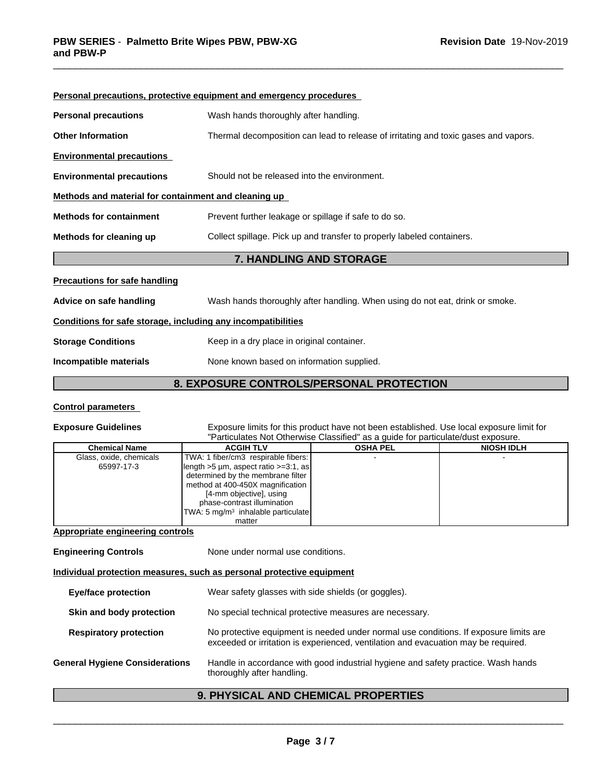|                                                              | Personal precautions, protective equipment and emergency procedures                 |
|--------------------------------------------------------------|-------------------------------------------------------------------------------------|
| <b>Personal precautions</b>                                  | Wash hands thoroughly after handling.                                               |
| <b>Other Information</b>                                     | Thermal decomposition can lead to release of irritating and toxic gases and vapors. |
| <b>Environmental precautions</b>                             |                                                                                     |
| <b>Environmental precautions</b>                             | Should not be released into the environment.                                        |
| Methods and material for containment and cleaning up         |                                                                                     |
| <b>Methods for containment</b>                               | Prevent further leakage or spillage if safe to do so.                               |
| Methods for cleaning up                                      | Collect spillage. Pick up and transfer to properly labeled containers.              |
|                                                              | <b>7. HANDLING AND STORAGE</b>                                                      |
| <b>Precautions for safe handling</b>                         |                                                                                     |
| Advice on safe handling                                      | Wash hands thoroughly after handling. When using do not eat, drink or smoke.        |
| Conditions for safe storage, including any incompatibilities |                                                                                     |
| <b>Storage Conditions</b>                                    | Keep in a dry place in original container.                                          |
| Incompatible materials                                       | None known based on information supplied.                                           |

### **8. EXPOSURE CONTROLS/PERSONAL PROTECTION**

### **Control parameters**

#### **Exposure Guidelines** Exposure limits for this product have not been established. Use local exposure limit for "Particulates Not Otherwise Classified" as a guide for particulate/dust exposure.

| <b>Chemical Name</b>    | <b>ACGIH TLV</b>                               | <b>OSHA PEL</b> | <b>NIOSH IDLH</b> |  |
|-------------------------|------------------------------------------------|-----------------|-------------------|--|
| Glass, oxide, chemicals | TWA: 1 fiber/cm3 respirable fibers:            |                 |                   |  |
| 65997-17-3              | $\left $ length >5 µm, aspect ratio >=3:1, as  |                 |                   |  |
|                         | determined by the membrane filter              |                 |                   |  |
|                         | method at 400-450X magnification               |                 |                   |  |
|                         | [4-mm objective], using                        |                 |                   |  |
|                         | phase-contrast illumination                    |                 |                   |  |
|                         | TWA: 5 mg/m <sup>3</sup> inhalable particulate |                 |                   |  |
|                         | matter                                         |                 |                   |  |

### **Appropriate engineering controls**

| <b>Engineering Controls</b>           | None under normal use conditions.                                                                                                                                           |
|---------------------------------------|-----------------------------------------------------------------------------------------------------------------------------------------------------------------------------|
|                                       | Individual protection measures, such as personal protective equipment                                                                                                       |
| Eye/face protection                   | Wear safety glasses with side shields (or goggles).                                                                                                                         |
| Skin and body protection              | No special technical protective measures are necessary.                                                                                                                     |
| <b>Respiratory protection</b>         | No protective equipment is needed under normal use conditions. If exposure limits are<br>exceeded or irritation is experienced, ventilation and evacuation may be required. |
| <b>General Hygiene Considerations</b> | Handle in accordance with good industrial hygiene and safety practice. Wash hands<br>thoroughly after handling.                                                             |
|                                       |                                                                                                                                                                             |

## **9. PHYSICAL AND CHEMICAL PROPERTIES**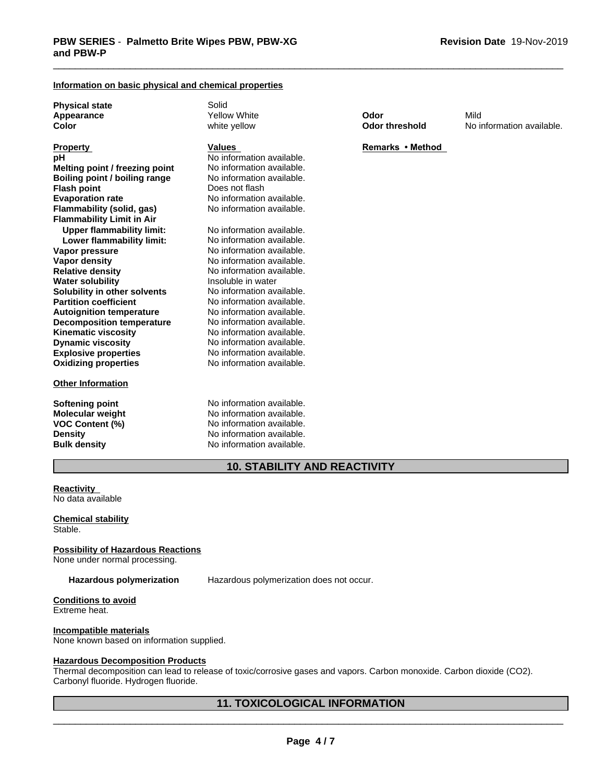### **Information on basic physical and chemical properties**

**Physical state**<br> **Appearance** The Solid Yellow White

**Explosive properties** No information available.<br> **Oxidizing properties** No information available. **Oxidizing properties pH** No information available.<br> **Melting point / freezing point** No information available. **Melting point / freezing point** No information available.<br> **Boiling point / boiling range** No information available. **Boiling point / boiling range Flash point** Does not flash **Evaporation rate** No information available. **Flammability (solid, gas)** No information available. **Flammability Limit in Air Upper flammability limit:** No information available.<br> **Lower flammability limit:** No information available. **Lower flammability limit:**<br>Vapor pressure **Vapor pressure** No information available.<br> **Vapor density** No information available. **Relative density** No information available. **Water solubility Insoluble in water Solubility in other solvents** No information available. **Partition coefficient**<br> **Autoignition temperature**<br>
No information available. **Autoignition temperature** No information available.<br> **Decomposition temperature** No information available. **Decomposition temperature Kinematic viscosity** No information available.<br> **Dynamic viscosity** No information available. **Dynamic viscosity** 

#### **Other Information**

**No information available.** 

**Softening point** No information available. **Molecular weight** No information available. **VOC Content (%)** No information available. **Density** No information available. **Bulk density** No information available.

**Appearance** Yellow White **Odor** Mild **Color Color Color Color No** information available.

### **Property Remarks • Method Property Remarks • Method**

**10. STABILITY AND REACTIVITY**

**Reactivity** No data available

**Chemical stability** Stable.

**Possibility of Hazardous Reactions**

None under normal processing.

**Hazardous polymerization** Hazardous polymerization does not occur.

#### **Conditions to avoid** Extreme heat.

### **Incompatible materials**

None known based on information supplied.

### **Hazardous Decomposition Products**

Thermal decomposition can lead to release of toxic/corrosive gases and vapors. Carbon monoxide. Carbon dioxide (CO2). Carbonyl fluoride. Hydrogen fluoride.

## **11. TOXICOLOGICAL INFORMATION**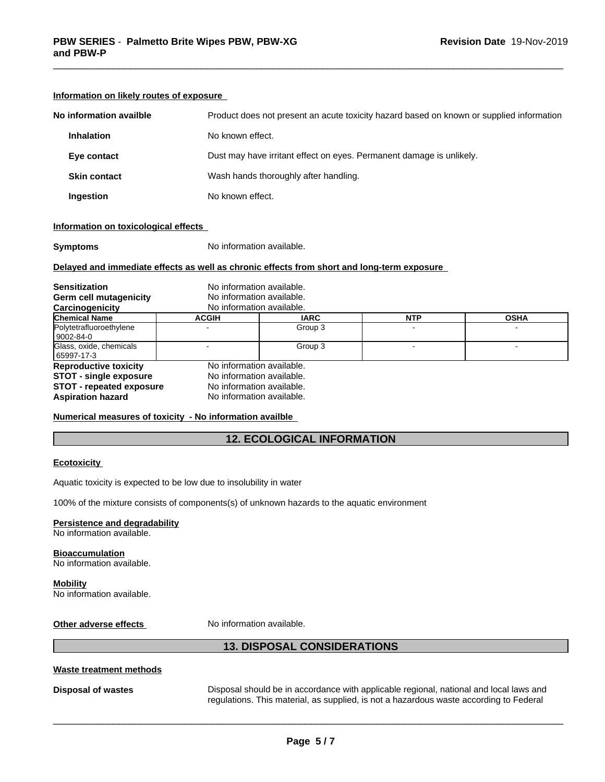| No information availble | Product does not present an acute toxicity hazard based on known or supplied information |
|-------------------------|------------------------------------------------------------------------------------------|
| <b>Inhalation</b>       | No known effect.                                                                         |
| Eye contact             | Dust may have irritant effect on eyes. Permanent damage is unlikely.                     |
| <b>Skin contact</b>     | Wash hands thoroughly after handling.                                                    |
| Ingestion               | No known effect.                                                                         |
|                         |                                                                                          |

### **Information on likely routes of exposure**

### **Information on toxicological effects**

**Symptoms** No information available.

### **Delayed and immediate effects as well as chronic effects from short and long-term exposure**

| <b>Sensitization</b>                    | No information available.<br>No information available. |             |            |             |
|-----------------------------------------|--------------------------------------------------------|-------------|------------|-------------|
| <b>Germ cell mutagenicity</b>           |                                                        |             |            |             |
| Carcinogenicity                         | No information available.                              |             |            |             |
| <b>Chemical Name</b>                    | <b>ACGIH</b>                                           | <b>IARC</b> | <b>NTP</b> | <b>OSHA</b> |
| Polytetrafluoroethylene<br>  9002-84-0  |                                                        | Group 3     |            |             |
| Glass, oxide, chemicals<br>  65997-17-3 |                                                        | Group 3     |            |             |
| <b>Reproductive toxicity</b>            | No information available.                              |             |            |             |
| <b>STOT - single exposure</b>           | No information available.                              |             |            |             |
| <b>STOT - repeated exposure</b>         | No information available.                              |             |            |             |
| <b>Aspiration hazard</b>                | No information available.                              |             |            |             |

### **Numerical measures of toxicity - No information availble**

### **12. ECOLOGICAL INFORMATION**

### **Ecotoxicity**

Aquatic toxicity is expected to be low due to insolubility in water

100% of the mixture consists of components(s) of unknown hazards to the aquatic environment

### **Persistence and degradability**

No information available.

#### **Bioaccumulation** No information available.

**Mobility** No information available.

**Other adverse effects** No information available.

### **13. DISPOSAL CONSIDERATIONS**

### **Waste treatment methods**

**Disposal of wastes** Disposal should be in accordance with applicable regional, national and local laws and regulations. This material, as supplied, is not a hazardous waste according to Federal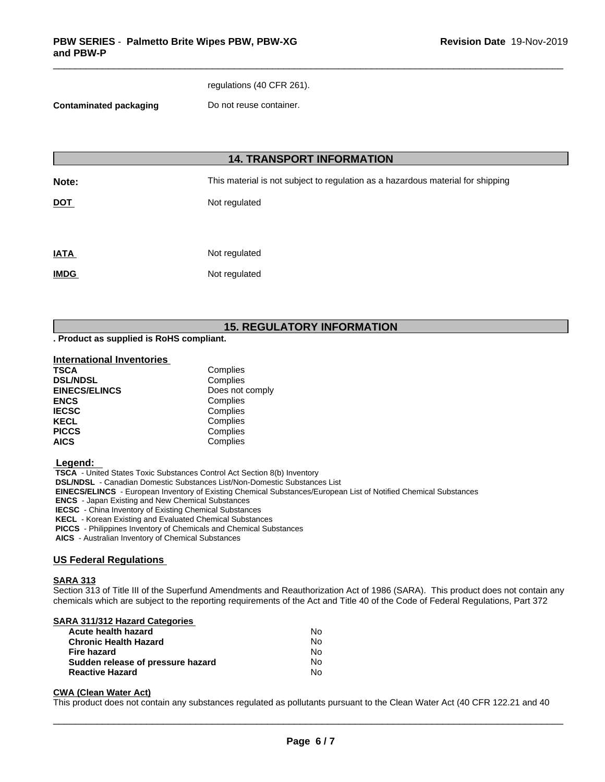regulations (40 CFR 261).

**Contaminated packaging Do not reuse container.** 

## **14. TRANSPORT INFORMATION**

**Note:** This material is not subject to regulation as a hazardous material for shipping

**DOT** Not regulated

| <b>IATA</b> | Not regulated |
|-------------|---------------|
| <b>IMDG</b> | Not regulated |

## **15. REGULATORY INFORMATION**

**. Product as supplied is RoHS compliant.**

### **International Inventories**

| <b>TSCA</b>          | Complies        |
|----------------------|-----------------|
| <b>DSL/NDSL</b>      | Complies        |
| <b>EINECS/ELINCS</b> | Does not comply |
| <b>ENCS</b>          | Complies        |
| <b>IECSC</b>         | Complies        |
| <b>KECL</b>          | Complies        |
| <b>PICCS</b>         | Complies        |
| <b>AICS</b>          | Complies        |

### **Legend:**

 **TSCA** - United States Toxic Substances Control Act Section 8(b) Inventory

 **DSL/NDSL** - Canadian Domestic Substances List/Non-Domestic Substances List

 **EINECS/ELINCS** - European Inventory of Existing Chemical Substances/European List of Notified Chemical Substances

 **ENCS** - Japan Existing and New Chemical Substances

 **IECSC** - China Inventory of Existing Chemical Substances

 **KECL** - Korean Existing and Evaluated Chemical Substances

 **PICCS** - Philippines Inventory of Chemicals and Chemical Substances

 **AICS** - Australian Inventory of Chemical Substances

### **US Federal Regulations**

### **SARA 313**

Section 313 of Title III of the Superfund Amendments and Reauthorization Act of 1986 (SARA). This product does not contain any chemicals which are subject to the reporting requirements of the Act and Title 40 of the Code of Federal Regulations, Part 372

### **SARA 311/312 Hazard Categories**

| Acute health hazard               | No. |  |
|-----------------------------------|-----|--|
| Chronic Health Hazard             | No. |  |
| Fire hazard                       | N٥  |  |
| Sudden release of pressure hazard | No. |  |
| <b>Reactive Hazard</b>            | N٥  |  |

### **CWA** (Clean Water Act)

This product does not contain any substances regulated as pollutants pursuant to the Clean Water Act (40 CFR 122.21 and 40